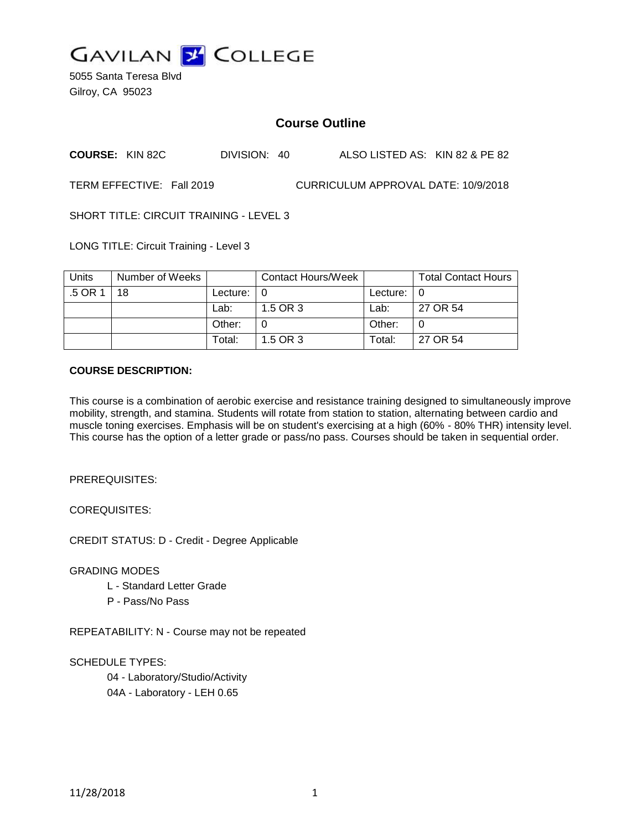

5055 Santa Teresa Blvd Gilroy, CA 95023

# **Course Outline**

**COURSE:** KIN 82C DIVISION: 40 ALSO LISTED AS: KIN 82 & PE 82

TERM EFFECTIVE: Fall 2019 CURRICULUM APPROVAL DATE: 10/9/2018

SHORT TITLE: CIRCUIT TRAINING - LEVEL 3

LONG TITLE: Circuit Training - Level 3

| Units   | Number of Weeks |               | <b>Contact Hours/Week</b> |                    | <b>Total Contact Hours</b> |
|---------|-----------------|---------------|---------------------------|--------------------|----------------------------|
| $.5$ OR | 18              | Lecture: $ 0$ |                           | Lecture: $\vert 0$ |                            |
|         |                 | Lab:          | 1.5 OR 3                  | Lab:               | 27 OR 54                   |
|         |                 | Other:        |                           | Other:             |                            |
|         |                 | Total:        | 1.5 OR 3                  | Total:             | 27 OR 54                   |

### **COURSE DESCRIPTION:**

This course is a combination of aerobic exercise and resistance training designed to simultaneously improve mobility, strength, and stamina. Students will rotate from station to station, alternating between cardio and muscle toning exercises. Emphasis will be on student's exercising at a high (60% - 80% THR) intensity level. This course has the option of a letter grade or pass/no pass. Courses should be taken in sequential order.

PREREQUISITES:

COREQUISITES:

CREDIT STATUS: D - Credit - Degree Applicable

GRADING MODES

- L Standard Letter Grade
- P Pass/No Pass

REPEATABILITY: N - Course may not be repeated

SCHEDULE TYPES:

04 - Laboratory/Studio/Activity

04A - Laboratory - LEH 0.65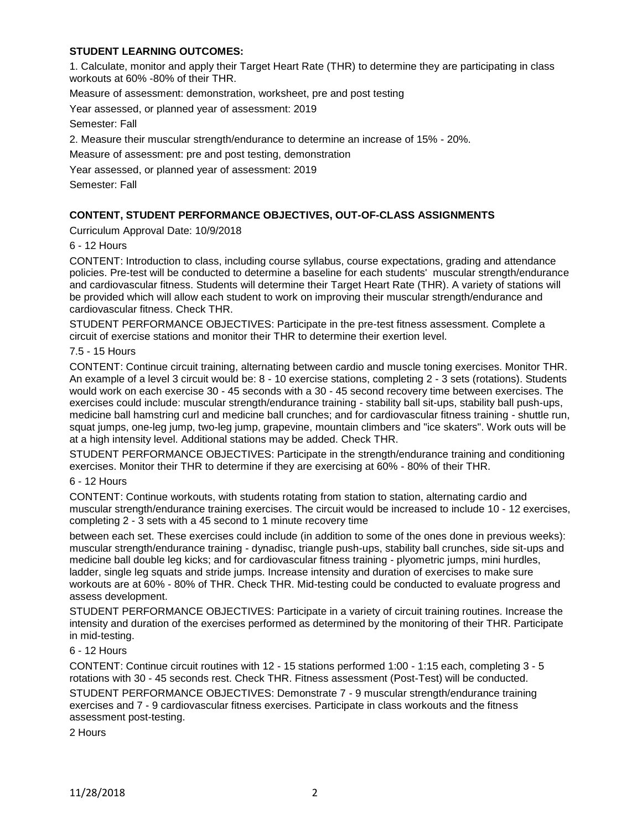# **STUDENT LEARNING OUTCOMES:**

1. Calculate, monitor and apply their Target Heart Rate (THR) to determine they are participating in class workouts at 60% -80% of their THR.

Measure of assessment: demonstration, worksheet, pre and post testing

Year assessed, or planned year of assessment: 2019

Semester: Fall

2. Measure their muscular strength/endurance to determine an increase of 15% - 20%.

Measure of assessment: pre and post testing, demonstration

Year assessed, or planned year of assessment: 2019

Semester: Fall

### **CONTENT, STUDENT PERFORMANCE OBJECTIVES, OUT-OF-CLASS ASSIGNMENTS**

Curriculum Approval Date: 10/9/2018

6 - 12 Hours

CONTENT: Introduction to class, including course syllabus, course expectations, grading and attendance policies. Pre-test will be conducted to determine a baseline for each students' muscular strength/endurance and cardiovascular fitness. Students will determine their Target Heart Rate (THR). A variety of stations will be provided which will allow each student to work on improving their muscular strength/endurance and cardiovascular fitness. Check THR.

STUDENT PERFORMANCE OBJECTIVES: Participate in the pre-test fitness assessment. Complete a circuit of exercise stations and monitor their THR to determine their exertion level.

#### 7.5 - 15 Hours

CONTENT: Continue circuit training, alternating between cardio and muscle toning exercises. Monitor THR. An example of a level 3 circuit would be: 8 - 10 exercise stations, completing 2 - 3 sets (rotations). Students would work on each exercise 30 - 45 seconds with a 30 - 45 second recovery time between exercises. The exercises could include: muscular strength/endurance training - stability ball sit-ups, stability ball push-ups, medicine ball hamstring curl and medicine ball crunches; and for cardiovascular fitness training - shuttle run, squat jumps, one-leg jump, two-leg jump, grapevine, mountain climbers and "ice skaters". Work outs will be at a high intensity level. Additional stations may be added. Check THR.

STUDENT PERFORMANCE OBJECTIVES: Participate in the strength/endurance training and conditioning exercises. Monitor their THR to determine if they are exercising at 60% - 80% of their THR.

#### 6 - 12 Hours

CONTENT: Continue workouts, with students rotating from station to station, alternating cardio and muscular strength/endurance training exercises. The circuit would be increased to include 10 - 12 exercises, completing 2 - 3 sets with a 45 second to 1 minute recovery time

between each set. These exercises could include (in addition to some of the ones done in previous weeks): muscular strength/endurance training - dynadisc, triangle push-ups, stability ball crunches, side sit-ups and medicine ball double leg kicks; and for cardiovascular fitness training - plyometric jumps, mini hurdles, ladder, single leg squats and stride jumps. Increase intensity and duration of exercises to make sure workouts are at 60% - 80% of THR. Check THR. Mid-testing could be conducted to evaluate progress and assess development.

STUDENT PERFORMANCE OBJECTIVES: Participate in a variety of circuit training routines. Increase the intensity and duration of the exercises performed as determined by the monitoring of their THR. Participate in mid-testing.

#### 6 - 12 Hours

CONTENT: Continue circuit routines with 12 - 15 stations performed 1:00 - 1:15 each, completing 3 - 5 rotations with 30 - 45 seconds rest. Check THR. Fitness assessment (Post-Test) will be conducted.

STUDENT PERFORMANCE OBJECTIVES: Demonstrate 7 - 9 muscular strength/endurance training exercises and 7 - 9 cardiovascular fitness exercises. Participate in class workouts and the fitness assessment post-testing.

2 Hours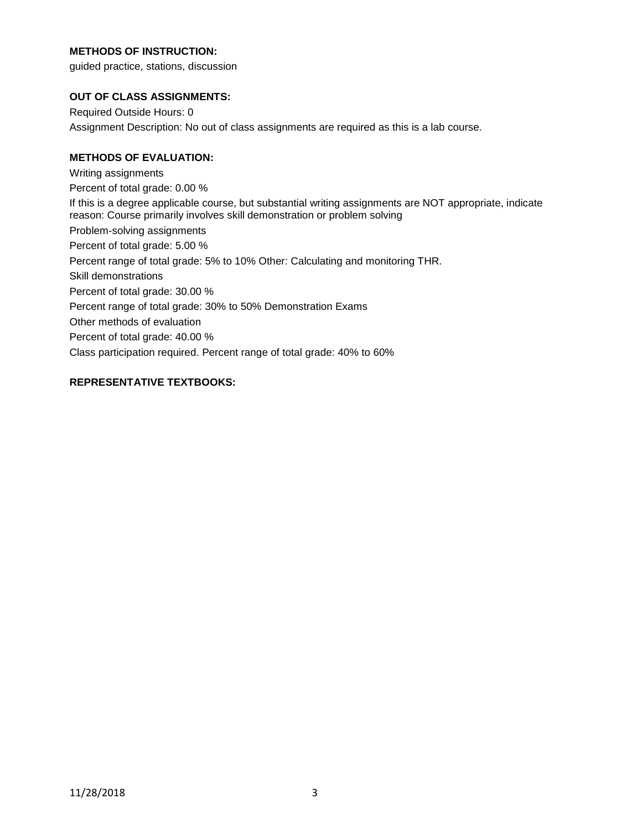# **METHODS OF INSTRUCTION:**

guided practice, stations, discussion

### **OUT OF CLASS ASSIGNMENTS:**

Required Outside Hours: 0 Assignment Description: No out of class assignments are required as this is a lab course.

# **METHODS OF EVALUATION:**

Writing assignments Percent of total grade: 0.00 % If this is a degree applicable course, but substantial writing assignments are NOT appropriate, indicate reason: Course primarily involves skill demonstration or problem solving Problem-solving assignments Percent of total grade: 5.00 % Percent range of total grade: 5% to 10% Other: Calculating and monitoring THR. Skill demonstrations Percent of total grade: 30.00 % Percent range of total grade: 30% to 50% Demonstration Exams Other methods of evaluation Percent of total grade: 40.00 % Class participation required. Percent range of total grade: 40% to 60%

# **REPRESENTATIVE TEXTBOOKS:**